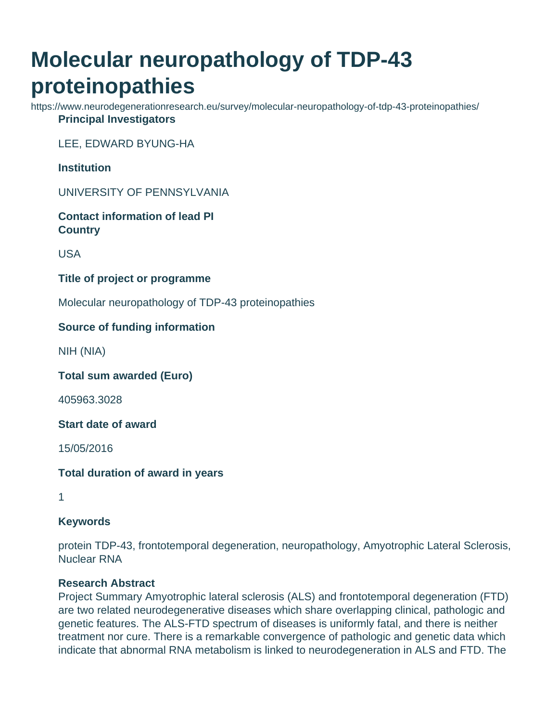# **Molecular neuropathology of TDP-43 proteinopathies**

https://www.neurodegenerationresearch.eu/survey/molecular-neuropathology-of-tdp-43-proteinopathies/ **Principal Investigators**

LEE, EDWARD BYUNG-HA

**Institution**

UNIVERSITY OF PENNSYLVANIA

**Contact information of lead PI Country**

USA

**Title of project or programme**

Molecular neuropathology of TDP-43 proteinopathies

### **Source of funding information**

NIH (NIA)

**Total sum awarded (Euro)**

405963.3028

**Start date of award**

15/05/2016

**Total duration of award in years**

1

### **Keywords**

protein TDP-43, frontotemporal degeneration, neuropathology, Amyotrophic Lateral Sclerosis, Nuclear RNA

### **Research Abstract**

Project Summary Amyotrophic lateral sclerosis (ALS) and frontotemporal degeneration (FTD) are two related neurodegenerative diseases which share overlapping clinical, pathologic and genetic features. The ALS-FTD spectrum of diseases is uniformly fatal, and there is neither treatment nor cure. There is a remarkable convergence of pathologic and genetic data which indicate that abnormal RNA metabolism is linked to neurodegeneration in ALS and FTD. The